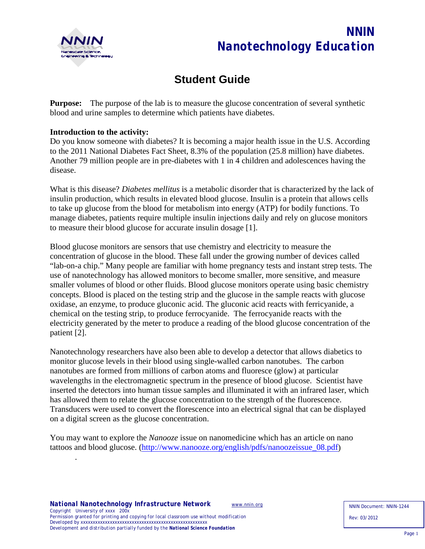

# *NNIN Nanotechnology Education*

# **Student Guide**

**Purpose:** The purpose of the lab is to measure the glucose concentration of several synthetic blood and urine samples to determine which patients have diabetes.

#### **Introduction to the activity:**

Do you know someone with diabetes? It is becoming a major health issue in the U.S. According to the 2011 National Diabetes Fact Sheet, 8.3% of the population (25.8 million) have diabetes. Another 79 million people are in pre-diabetes with 1 in 4 children and adolescences having the disease.

What is this disease? *Diabetes mellitus* is a metabolic disorder that is characterized by the lack of insulin production, which results in elevated blood glucose. Insulin is a protein that allows cells to take up glucose from the blood for metabolism into energy (ATP) for bodily functions. To manage diabetes, patients require multiple insulin injections daily and rely on glucose monitors to measure their blood glucose for accurate insulin dosage [1].

Blood glucose monitors are sensors that use chemistry and electricity to measure the concentration of glucose in the blood. These fall under the growing number of devices called "lab-on-a chip." Many people are familiar with home pregnancy tests and instant strep tests. The use of nanotechnology has allowed monitors to become smaller, more sensitive, and measure smaller volumes of blood or other fluids. Blood glucose monitors operate using basic chemistry concepts. Blood is placed on the testing strip and the glucose in the sample reacts with glucose oxidase, an enzyme, to produce gluconic acid. The gluconic acid reacts with ferricyanide, a chemical on the testing strip, to produce ferrocyanide. The ferrocyanide reacts with the electricity generated by the meter to produce a reading of the blood glucose concentration of the patient [2].

Nanotechnology researchers have also been able to develop a detector that allows diabetics to monitor glucose levels in their blood using single-walled carbon nanotubes. The carbon nanotubes are formed from millions of carbon atoms and fluoresce (glow) at particular wavelengths in the electromagnetic spectrum in the presence of blood glucose. Scientist have inserted the detectors into human tissue samples and illuminated it with an infrared laser, which has allowed them to relate the glucose concentration to the strength of the fluorescence. Transducers were used to convert the florescence into an electrical signal that can be displayed on a digital screen as the glucose concentration.

You may want to explore the *Nanooze* issue on nanomedicine which has an article on nano tattoos and blood glucose. [\(http://www.nanooze.org/english/pdfs/nanoozeissue\\_08.pdf\)](http://www.nanooze.org/english/pdfs/nanoozeissue_08.pdf)

.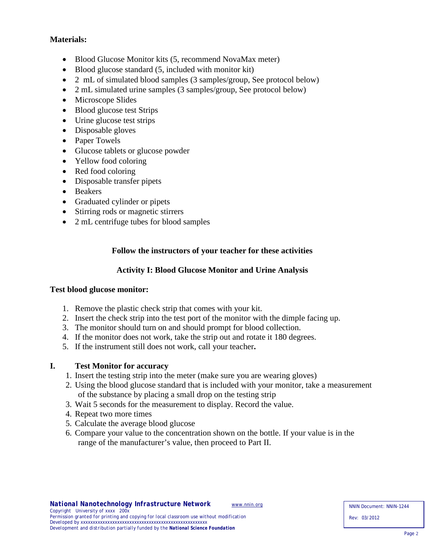# **Materials:**

- Blood Glucose Monitor kits (5, recommend NovaMax meter)
- Blood glucose standard (5, included with monitor kit)
- 2 mL of simulated blood samples (3 samples/group, See protocol below)
- 2 mL simulated urine samples (3 samples/group, See protocol below)
- Microscope Slides
- Blood glucose test Strips
- Urine glucose test strips
- Disposable gloves
- Paper Towels
- Glucose tablets or glucose powder
- Yellow food coloring
- Red food coloring
- Disposable transfer pipets
- Beakers
- Graduated cylinder or pipets
- Stirring rods or magnetic stirrers
- 2 mL centrifuge tubes for blood samples

# **Follow the instructors of your teacher for these activities**

#### **Activity I: Blood Glucose Monitor and Urine Analysis**

#### **Test blood glucose monitor:**

- 1. Remove the plastic check strip that comes with your kit.
- 2. Insert the check strip into the test port of the monitor with the dimple facing up.
- 3. The monitor should turn on and should prompt for blood collection.
- 4. If the monitor does not work, take the strip out and rotate it 180 degrees.
- 5. If the instrument still does not work, call your teacher**.**

#### **I. Test Monitor for accuracy**

- 1. Insert the testing strip into the meter (make sure you are wearing gloves)
- 2. Using the blood glucose standard that is included with your monitor, take a measurement of the substance by placing a small drop on the testing strip
- 3. Wait 5 seconds for the measurement to display. Record the value.
- 4. Repeat two more times
- 5. Calculate the average blood glucose
- 6. Compare your value to the concentration shown on the bottle. If your value is in the range of the manufacturer's value, then proceed to Part II.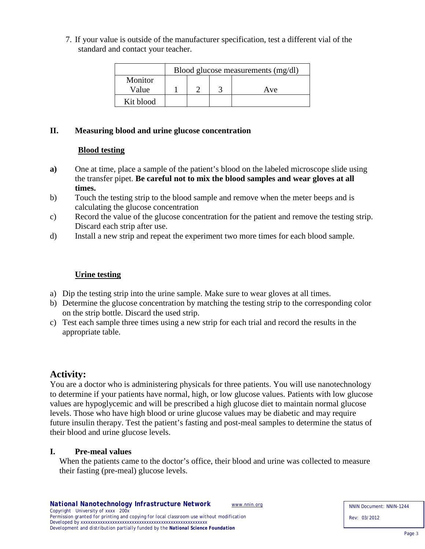7. If your value is outside of the manufacturer specification, test a different vial of the standard and contact your teacher.

|           | Blood glucose measurements (mg/dl) |  |  |     |  |  |
|-----------|------------------------------------|--|--|-----|--|--|
| Monitor   |                                    |  |  |     |  |  |
| Value     |                                    |  |  | Ave |  |  |
| Kit blood |                                    |  |  |     |  |  |

# **II. Measuring blood and urine glucose concentration**

# **Blood testing**

- **a)** One at time, place a sample of the patient's blood on the labeled microscope slide using the transfer pipet. **Be careful not to mix the blood samples and wear gloves at all times.**
- b) Touch the testing strip to the blood sample and remove when the meter beeps and is calculating the glucose concentration
- c) Record the value of the glucose concentration for the patient and remove the testing strip. Discard each strip after use.
- d) Install a new strip and repeat the experiment two more times for each blood sample.

# **Urine testing**

- a) Dip the testing strip into the urine sample. Make sure to wear gloves at all times.
- b) Determine the glucose concentration by matching the testing strip to the corresponding color on the strip bottle. Discard the used strip.
- c) Test each sample three times using a new strip for each trial and record the results in the appropriate table.

# **Activity:**

You are a doctor who is administering physicals for three patients. You will use nanotechnology to determine if your patients have normal, high, or low glucose values. Patients with low glucose values are hypoglycemic and will be prescribed a high glucose diet to maintain normal glucose levels. Those who have high blood or urine glucose values may be diabetic and may require future insulin therapy. Test the patient's fasting and post-meal samples to determine the status of their blood and urine glucose levels.

#### **I. Pre-meal values**

When the patients came to the doctor's office, their blood and urine was collected to measure their fasting (pre-meal) glucose levels.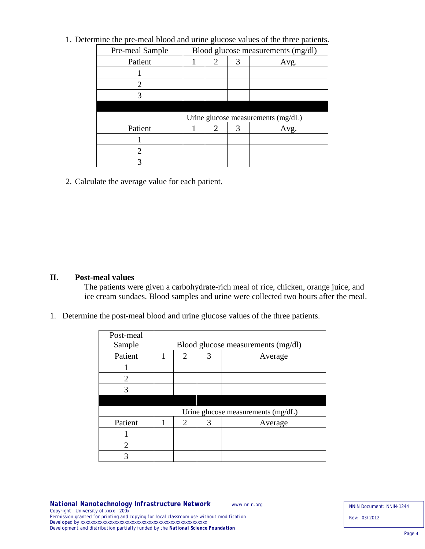| Pre-meal Sample             | Blood glucose measurements (mg/dl) |                |   |      |  |
|-----------------------------|------------------------------------|----------------|---|------|--|
| Patient                     |                                    | 2              | 3 | Avg. |  |
|                             |                                    |                |   |      |  |
| $\mathcal{D}_{\mathcal{L}}$ |                                    |                |   |      |  |
|                             |                                    |                |   |      |  |
|                             |                                    |                |   |      |  |
|                             | Urine glucose measurements (mg/dL) |                |   |      |  |
| Patient                     |                                    | $\overline{2}$ | 3 | Avg. |  |
|                             |                                    |                |   |      |  |
| 2                           |                                    |                |   |      |  |
|                             |                                    |                |   |      |  |

1. Determine the pre-meal blood and urine glucose values of the three patients.

2. Calculate the average value for each patient.

#### **II. Post-meal values**

The patients were given a carbohydrate-rich meal of rice, chicken, orange juice, and ice cream sundaes. Blood samples and urine were collected two hours after the meal.

1. Determine the post-meal blood and urine glucose values of the three patients.

| Post-meal<br>Sample         | Blood glucose measurements (mg/dl) |                             |   |         |  |  |
|-----------------------------|------------------------------------|-----------------------------|---|---------|--|--|
| Patient                     | 1                                  | 2                           | 3 | Average |  |  |
|                             |                                    |                             |   |         |  |  |
| 2                           |                                    |                             |   |         |  |  |
| 3                           |                                    |                             |   |         |  |  |
|                             |                                    |                             |   |         |  |  |
|                             | Urine glucose measurements (mg/dL) |                             |   |         |  |  |
| Patient                     | 1                                  | $\mathcal{D}_{\mathcal{L}}$ | 3 | Average |  |  |
|                             |                                    |                             |   |         |  |  |
| $\mathcal{D}_{\mathcal{A}}$ |                                    |                             |   |         |  |  |
|                             |                                    |                             |   |         |  |  |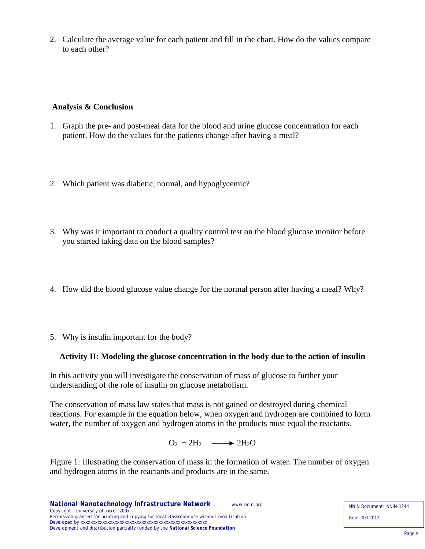2. Calculate the average value for each patient and fill in the chart. How do the values compare to each other?

# **Analysis & Conclusion**

- 1. Graph the pre- and post-meal data for the blood and urine glucose concentration for each patient. How do the values for the patients change after having a meal?
- 2. Which patient was diabetic, normal, and hypoglycemic?
- 3. Why was it important to conduct a quality control test on the blood glucose monitor before you started taking data on the blood samples?
- 4. How did the blood glucose value change for the normal person after having a meal? Why?
- 5. Why is insulin important for the body?

# **Activity II: Modeling the glucose concentration in the body due to the action of insulin**

In this activity you will investigate the conservation of mass of glucose to further your understanding of the role of insulin on glucose metabolism.

The conservation of mass law states that mass is not gained or destroyed during chemical reactions. For example in the equation below, when oxygen and hydrogen are combined to form water, the number of oxygen and hydrogen atoms in the products must equal the reactants.

 $O_2 + 2H_2 \longrightarrow 2H_2O$ 

Figure 1: Illustrating the conservation of mass in the formation of water. The number of oxygen and hydrogen atoms in the reactants and products are in the same.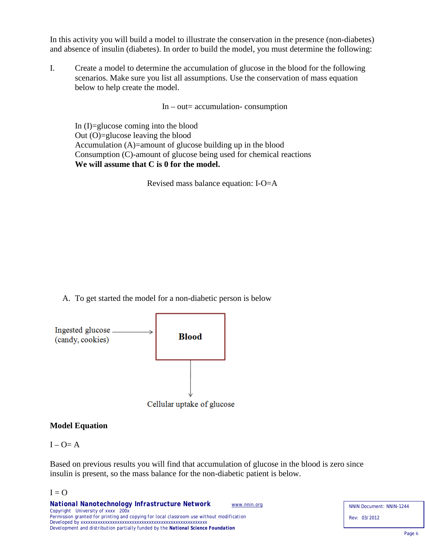In this activity you will build a model to illustrate the conservation in the presence (non-diabetes) and absence of insulin (diabetes). In order to build the model, you must determine the following:

I. Create a model to determine the accumulation of glucose in the blood for the following scenarios. Make sure you list all assumptions. Use the conservation of mass equation below to help create the model.

 $In - out = accumulation - consumption$ 

In (I)=glucose coming into the blood Out (O)=glucose leaving the blood Accumulation (A)=amount of glucose building up in the blood Consumption (C)-amount of glucose being used for chemical reactions  **We will assume that C is 0 for the model.**

Revised mass balance equation: I-O=A

A. To get started the model for a non-diabetic person is below



#### **Model Equation**

#### $I - O = A$

Based on previous results you will find that accumulation of glucose in the blood is zero since insulin is present, so the mass balance for the non-diabetic patient is below.

#### $I = O$

NNIN Document: NNIN-1244 Rev: 03/2012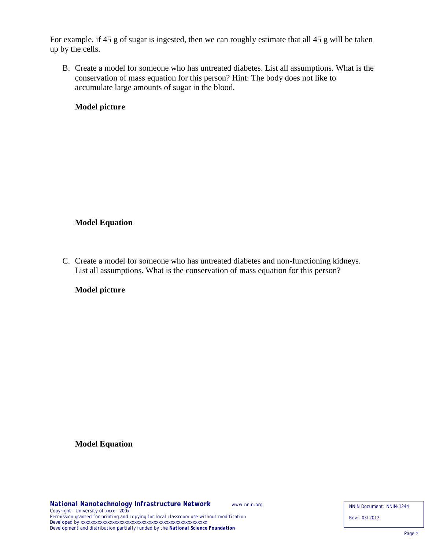For example, if 45 g of sugar is ingested, then we can roughly estimate that all 45 g will be taken up by the cells.

B. Create a model for someone who has untreated diabetes. List all assumptions. What is the conservation of mass equation for this person? Hint: The body does not like to accumulate large amounts of sugar in the blood.

# **Model picture**

# **Model Equation**

C. Create a model for someone who has untreated diabetes and non-functioning kidneys. List all assumptions. What is the conservation of mass equation for this person?

#### **Model picture**

**Model Equation**